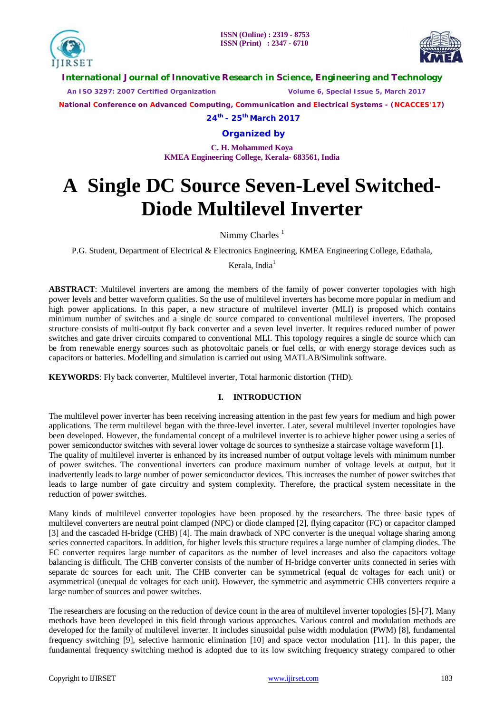



**International Journal of Innovative Research in Science, Engineering and Technology**

 *An ISO 3297: 2007 Certified Organization Volume 6, Special Issue 5, March 2017*

**National Conference on Advanced Computing, Communication and Electrical Systems - (NCACCES'17)**

**24th - 25th March 2017**

**Organized by**

**C. H. Mohammed Koya KMEA Engineering College, Kerala- 683561, India** 

# **A Single DC Source Seven-Level Switched-Diode Multilevel Inverter**

Nimmy Charles  $<sup>1</sup>$ </sup>

P.G. Student, Department of Electrical & Electronics Engineering, KMEA Engineering College, Edathala,

Kerala, India $<sup>1</sup>$ </sup>

**ABSTRACT**: Multilevel inverters are among the members of the family of power converter topologies with high power levels and better waveform qualities. So the use of multilevel inverters has become more popular in medium and high power applications. In this paper, a new structure of multilevel inverter (MLI) is proposed which contains minimum number of switches and a single dc source compared to conventional multilevel inverters. The proposed structure consists of multi-output fly back converter and a seven level inverter. It requires reduced number of power switches and gate driver circuits compared to conventional MLI. This topology requires a single dc source which can be from renewable energy sources such as photovoltaic panels or fuel cells, or with energy storage devices such as capacitors or batteries. Modelling and simulation is carried out using MATLAB/Simulink software.

**KEYWORDS**: Fly back converter, Multilevel inverter, Total harmonic distortion (THD).

### **I. INTRODUCTION**

The multilevel power inverter has been receiving increasing attention in the past few years for medium and high power applications. The term multilevel began with the three-level inverter. Later, several multilevel inverter topologies have been developed. However, the fundamental concept of a multilevel inverter is to achieve higher power using a series of power semiconductor switches with several lower voltage dc sources to synthesize a staircase voltage waveform [1]. The quality of multilevel inverter is enhanced by its increased number of output voltage levels with minimum number of power switches. The conventional inverters can produce maximum number of voltage levels at output, but it inadvertently leads to large number of power semiconductor devices. This increases the number of power switches that leads to large number of gate circuitry and system complexity. Therefore, the practical system necessitate in the reduction of power switches.

Many kinds of multilevel converter topologies have been proposed by the researchers. The three basic types of multilevel converters are neutral point clamped (NPC) or diode clamped [2], flying capacitor (FC) or capacitor clamped [3] and the cascaded H-bridge (CHB) [4]. The main drawback of NPC converter is the unequal voltage sharing among series connected capacitors. In addition, for higher levels this structure requires a large number of clamping diodes. The FC converter requires large number of capacitors as the number of level increases and also the capacitors voltage balancing is difficult. The CHB converter consists of the number of H-bridge converter units connected in series with separate dc sources for each unit. The CHB converter can be symmetrical (equal dc voltages for each unit) or asymmetrical (unequal dc voltages for each unit). However, the symmetric and asymmetric CHB converters require a large number of sources and power switches.

The researchers are focusing on the reduction of device count in the area of multilevel inverter topologies [5]-[7]. Many methods have been developed in this field through various approaches. Various control and modulation methods are developed for the family of multilevel inverter. It includes sinusoidal pulse width modulation (PWM) [8], fundamental frequency switching [9], selective harmonic elimination [10] and space vector modulation [11]. In this paper, the fundamental frequency switching method is adopted due to its low switching frequency strategy compared to other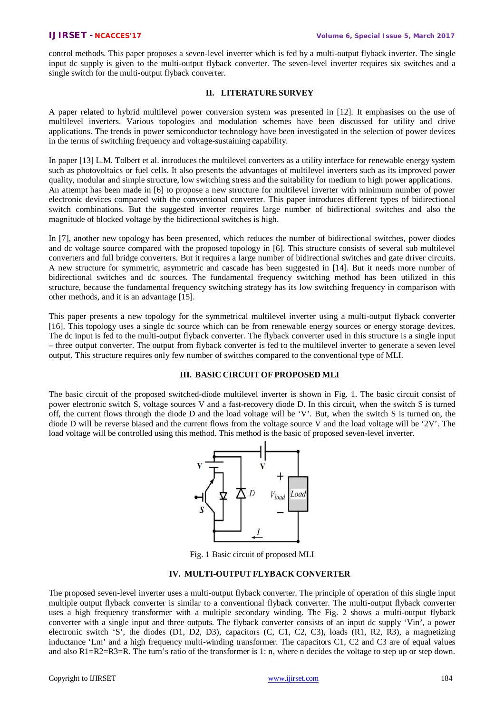control methods. This paper proposes a seven-level inverter which is fed by a multi-output flyback inverter. The single input dc supply is given to the multi-output flyback converter. The seven-level inverter requires six switches and a single switch for the multi-output flyback converter.

#### **II. LITERATURE SURVEY**

A paper related to hybrid multilevel power conversion system was presented in [12]. It emphasises on the use of multilevel inverters. Various topologies and modulation schemes have been discussed for utility and drive applications. The trends in power semiconductor technology have been investigated in the selection of power devices in the terms of switching frequency and voltage-sustaining capability.

In paper [13] L.M. Tolbert et al. introduces the multilevel converters as a utility interface for renewable energy system such as photovoltaics or fuel cells. It also presents the advantages of multilevel inverters such as its improved power quality, modular and simple structure, low switching stress and the suitability for medium to high power applications. An attempt has been made in [6] to propose a new structure for multilevel inverter with minimum number of power electronic devices compared with the conventional converter. This paper introduces different types of bidirectional switch combinations. But the suggested inverter requires large number of bidirectional switches and also the magnitude of blocked voltage by the bidirectional switches is high.

In [7], another new topology has been presented, which reduces the number of bidirectional switches, power diodes and dc voltage source compared with the proposed topology in [6]. This structure consists of several sub multilevel converters and full bridge converters. But it requires a large number of bidirectional switches and gate driver circuits. A new structure for symmetric, asymmetric and cascade has been suggested in [14]. But it needs more number of bidirectional switches and dc sources. The fundamental frequency switching method has been utilized in this structure, because the fundamental frequency switching strategy has its low switching frequency in comparison with other methods, and it is an advantage [15].

This paper presents a new topology for the symmetrical multilevel inverter using a multi-output flyback converter [16]. This topology uses a single dc source which can be from renewable energy sources or energy storage devices. The dc input is fed to the multi-output flyback converter. The flyback converter used in this structure is a single input – three output converter. The output from flyback converter is fed to the multilevel inverter to generate a seven level output. This structure requires only few number of switches compared to the conventional type of MLI.

### **III. BASIC CIRCUIT OF PROPOSED MLI**

The basic circuit of the proposed switched-diode multilevel inverter is shown in Fig. 1. The basic circuit consist of power electronic switch S, voltage sources V and a fast-recovery diode D. In this circuit, when the switch S is turned off, the current flows through the diode D and the load voltage will be 'V'. But, when the switch S is turned on, the diode D will be reverse biased and the current flows from the voltage source V and the load voltage will be '2V'. The load voltage will be controlled using this method. This method is the basic of proposed seven-level inverter.



Fig. 1 Basic circuit of proposed MLI

#### **IV. MULTI-OUTPUT FLYBACK CONVERTER**

The proposed seven-level inverter uses a multi-output flyback converter. The principle of operation of this single input multiple output flyback converter is similar to a conventional flyback converter. The multi-output flyback converter uses a high frequency transformer with a multiple secondary winding. The Fig. 2 shows a multi-output flyback converter with a single input and three outputs. The flyback converter consists of an input dc supply 'Vin', a power electronic switch 'S', the diodes (D1, D2, D3), capacitors (C, C1, C2, C3), loads (R1, R2, R3), a magnetizing inductance 'Lm' and a high frequency multi-winding transformer. The capacitors C1, C2 and C3 are of equal values and also R1=R2=R3=R. The turn's ratio of the transformer is 1: n, where n decides the voltage to step up or step down.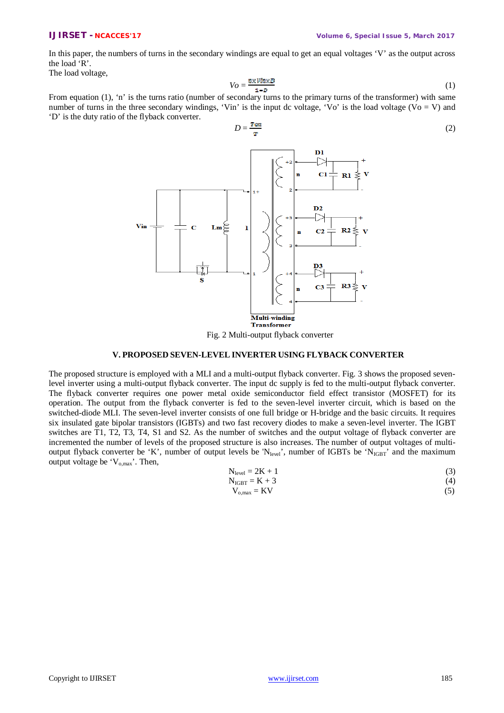In this paper, the numbers of turns in the secondary windings are equal to get an equal voltages 'V' as the output across the load 'R'.

The load voltage,

$$
V_O = \frac{n \times V(n \times D)}{1 - D} \tag{1}
$$

From equation (1), 'n' is the turns ratio (number of secondary turns to the primary turns of the transformer) with same number of turns in the three secondary windings, 'Vin' is the input dc voltage, 'Vo' is the load voltage (Vo = V) and 'D' is the duty ratio of the flyback converter.

$$
D = \frac{\text{Tom}}{\text{T}}
$$
 (2)



Fig. 2 Multi-output flyback converter

#### **V. PROPOSED SEVEN-LEVEL INVERTER USING FLYBACK CONVERTER**

The proposed structure is employed with a MLI and a multi-output flyback converter. Fig. 3 shows the proposed sevenlevel inverter using a multi-output flyback converter. The input dc supply is fed to the multi-output flyback converter. The flyback converter requires one power metal oxide semiconductor field effect transistor (MOSFET) for its operation. The output from the flyback converter is fed to the seven-level inverter circuit, which is based on the switched-diode MLI. The seven-level inverter consists of one full bridge or H-bridge and the basic circuits. It requires six insulated gate bipolar transistors (IGBTs) and two fast recovery diodes to make a seven-level inverter. The IGBT switches are T1, T2, T3, T4, S1 and S2. As the number of switches and the output voltage of flyback converter are incremented the number of levels of the proposed structure is also increases. The number of output voltages of multioutput flyback converter be 'K', number of output levels be 'N<sub>level</sub>', number of IGBTs be 'N<sub>IGBT</sub>' and the maximum output voltage be  $V_{o,max}$ . Then,

$$
N_{level} = 2K + 1 \tag{3}
$$

$$
N_{IGBT} = K + 3\tag{4}
$$

$$
V_{o,max} = KV \tag{5}
$$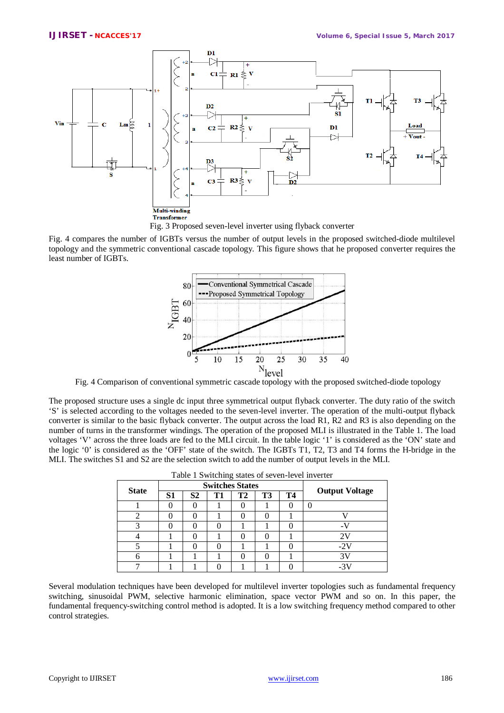

Fig. 4 compares the number of IGBTs versus the number of output levels in the proposed switched-diode multilevel topology and the symmetric conventional cascade topology. This figure shows that he proposed converter requires the least number of IGBTs.



Fig. 4 Comparison of conventional symmetric cascade topology with the proposed switched-diode topology

The proposed structure uses a single dc input three symmetrical output flyback converter. The duty ratio of the switch 'S' is selected according to the voltages needed to the seven-level inverter. The operation of the multi-output flyback converter is similar to the basic flyback converter. The output across the load R1, R2 and R3 is also depending on the number of turns in the transformer windings. The operation of the proposed MLI is illustrated in the Table 1. The load voltages 'V' across the three loads are fed to the MLI circuit. In the table logic '1' is considered as the 'ON' state and the logic '0' is considered as the 'OFF' state of the switch. The IGBTs T1, T2, T3 and T4 forms the H-bridge in the MLI. The switches S1 and S2 are the selection switch to add the number of output levels in the MLI.

| Table 1 Switching states of seven-level inverter |                        |                |           |           |    |    |                       |
|--------------------------------------------------|------------------------|----------------|-----------|-----------|----|----|-----------------------|
| <b>State</b>                                     | <b>Switches States</b> |                |           |           |    |    |                       |
|                                                  | S1                     | S <sub>2</sub> | <b>T1</b> | <b>T2</b> | T3 | Т4 | <b>Output Voltage</b> |
|                                                  |                        |                |           |           |    |    |                       |
| 2                                                |                        |                |           |           |    |    |                       |
|                                                  |                        |                |           |           |    |    |                       |
|                                                  |                        |                |           |           |    |    | 2 V                   |
|                                                  |                        |                |           |           |    |    | $-2V$                 |
| 6                                                |                        |                |           |           |    |    | 3V                    |
|                                                  |                        |                |           |           |    |    |                       |

Several modulation techniques have been developed for multilevel inverter topologies such as fundamental frequency switching, sinusoidal PWM, selective harmonic elimination, space vector PWM and so on. In this paper, the fundamental frequency-switching control method is adopted. It is a low switching frequency method compared to other control strategies.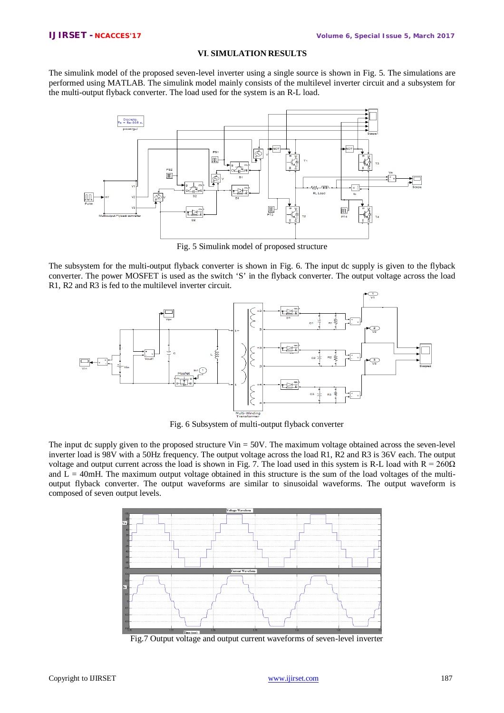### **VI**. **SIMULATION RESULTS**

The simulink model of the proposed seven-level inverter using a single source is shown in Fig. 5. The simulations are performed using MATLAB. The simulink model mainly consists of the multilevel inverter circuit and a subsystem for the multi-output flyback converter. The load used for the system is an R-L load.



Fig. 5 Simulink model of proposed structure

The subsystem for the multi-output flyback converter is shown in Fig. 6. The input dc supply is given to the flyback converter. The power MOSFET is used as the switch 'S' in the flyback converter. The output voltage across the load R1, R2 and R3 is fed to the multilevel inverter circuit.



Fig. 6 Subsystem of multi-output flyback converter

The input dc supply given to the proposed structure Vin  $= 50V$ . The maximum voltage obtained across the seven-level inverter load is 98V with a 50Hz frequency. The output voltage across the load R1, R2 and R3 is 36V each. The output voltage and output current across the load is shown in Fig. 7. The load used in this system is R-L load with  $R = 260\Omega$ and  $L = 40$ mH. The maximum output voltage obtained in this structure is the sum of the load voltages of the multioutput flyback converter. The output waveforms are similar to sinusoidal waveforms. The output waveform is composed of seven output levels.



Fig.7 Output voltage and output current waveforms of seven-level inverter